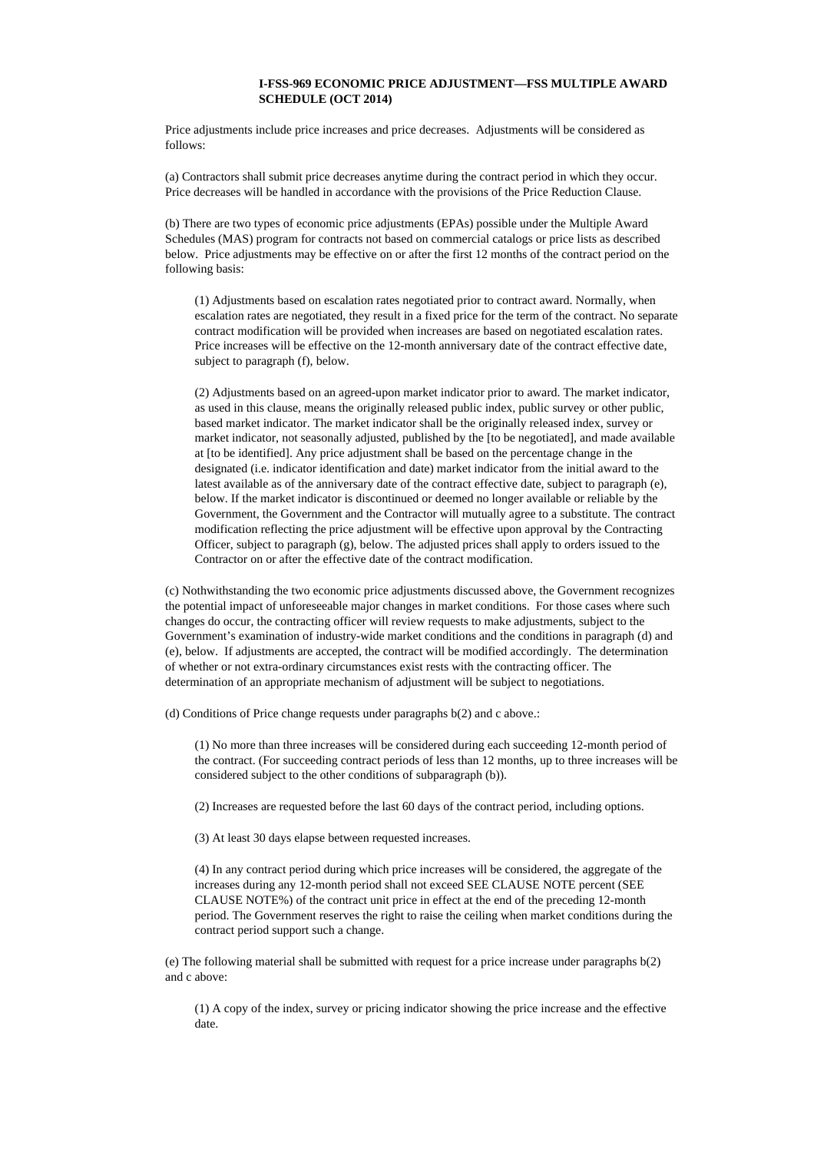## **I-FSS-969 ECONOMIC PRICE ADJUSTMENT—FSS MULTIPLE AWARD SCHEDULE (OCT 2014)**

Price adjustments include price increases and price decreases. Adjustments will be considered as follows:

(a) Contractors shall submit price decreases anytime during the contract period in which they occur. Price decreases will be handled in accordance with the provisions of the Price Reduction Clause.

(b) There are two types of economic price adjustments (EPAs) possible under the Multiple Award Schedules (MAS) program for contracts not based on commercial catalogs or price lists as described below. Price adjustments may be effective on or after the first 12 months of the contract period on the following basis:

(1) Adjustments based on escalation rates negotiated prior to contract award. Normally, when escalation rates are negotiated, they result in a fixed price for the term of the contract. No separate contract modification will be provided when increases are based on negotiated escalation rates. Price increases will be effective on the 12-month anniversary date of the contract effective date, subject to paragraph (f), below.

(2) Adjustments based on an agreed-upon market indicator prior to award. The market indicator, as used in this clause, means the originally released public index, public survey or other public, based market indicator. The market indicator shall be the originally released index, survey or market indicator, not seasonally adjusted, published by the [to be negotiated], and made available at [to be identified]. Any price adjustment shall be based on the percentage change in the designated (i.e. indicator identification and date) market indicator from the initial award to the latest available as of the anniversary date of the contract effective date, subject to paragraph (e), below. If the market indicator is discontinued or deemed no longer available or reliable by the Government, the Government and the Contractor will mutually agree to a substitute. The contract modification reflecting the price adjustment will be effective upon approval by the Contracting Officer, subject to paragraph (g), below. The adjusted prices shall apply to orders issued to the Contractor on or after the effective date of the contract modification.

(c) Nothwithstanding the two economic price adjustments discussed above, the Government recognizes the potential impact of unforeseeable major changes in market conditions. For those cases where such changes do occur, the contracting officer will review requests to make adjustments, subject to the Government's examination of industry-wide market conditions and the conditions in paragraph (d) and (e), below. If adjustments are accepted, the contract will be modified accordingly. The determination of whether or not extra-ordinary circumstances exist rests with the contracting officer. The determination of an appropriate mechanism of adjustment will be subject to negotiations.

(d) Conditions of Price change requests under paragraphs b(2) and c above.:

(1) No more than three increases will be considered during each succeeding 12-month period of the contract. (For succeeding contract periods of less than 12 months, up to three increases will be considered subject to the other conditions of subparagraph (b)).

(2) Increases are requested before the last 60 days of the contract period, including options.

(3) At least 30 days elapse between requested increases.

(4) In any contract period during which price increases will be considered, the aggregate of the increases during any 12-month period shall not exceed SEE CLAUSE NOTE percent (SEE CLAUSE NOTE%) of the contract unit price in effect at the end of the preceding 12-month period. The Government reserves the right to raise the ceiling when market conditions during the contract period support such a change.

(e) The following material shall be submitted with request for a price increase under paragraphs b(2) and c above:

(1) A copy of the index, survey or pricing indicator showing the price increase and the effective date.